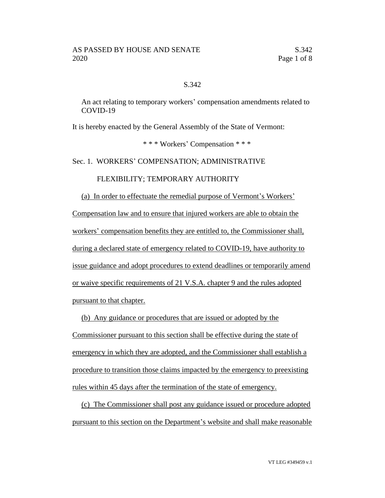## S.342

An act relating to temporary workers' compensation amendments related to COVID-19

It is hereby enacted by the General Assembly of the State of Vermont:

\* \* \* Workers' Compensation \* \* \*

Sec. 1. WORKERS' COMPENSATION; ADMINISTRATIVE

## FLEXIBILITY; TEMPORARY AUTHORITY

# (a) In order to effectuate the remedial purpose of Vermont's Workers' Compensation law and to ensure that injured workers are able to obtain the workers' compensation benefits they are entitled to, the Commissioner shall, during a declared state of emergency related to COVID-19, have authority to issue guidance and adopt procedures to extend deadlines or temporarily amend or waive specific requirements of 21 V.S.A. chapter 9 and the rules adopted

pursuant to that chapter.

(b) Any guidance or procedures that are issued or adopted by the Commissioner pursuant to this section shall be effective during the state of emergency in which they are adopted, and the Commissioner shall establish a procedure to transition those claims impacted by the emergency to preexisting rules within 45 days after the termination of the state of emergency.

(c) The Commissioner shall post any guidance issued or procedure adopted pursuant to this section on the Department's website and shall make reasonable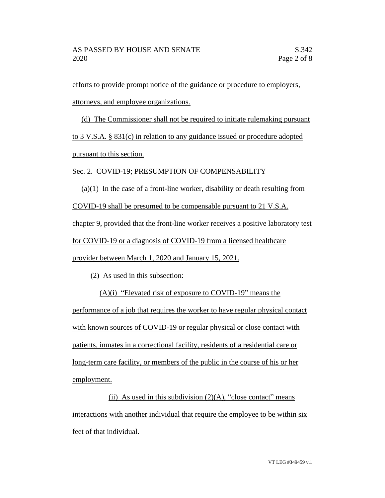efforts to provide prompt notice of the guidance or procedure to employers, attorneys, and employee organizations.

(d) The Commissioner shall not be required to initiate rulemaking pursuant to 3 V.S.A. § 831(c) in relation to any guidance issued or procedure adopted pursuant to this section.

Sec. 2. COVID-19; PRESUMPTION OF COMPENSABILITY

 $(a)(1)$  In the case of a front-line worker, disability or death resulting from COVID-19 shall be presumed to be compensable pursuant to 21 V.S.A. chapter 9, provided that the front-line worker receives a positive laboratory test for COVID-19 or a diagnosis of COVID-19 from a licensed healthcare provider between March 1, 2020 and January 15, 2021.

(2) As used in this subsection:

(A)(i) "Elevated risk of exposure to COVID-19" means the performance of a job that requires the worker to have regular physical contact with known sources of COVID-19 or regular physical or close contact with patients, inmates in a correctional facility, residents of a residential care or long-term care facility, or members of the public in the course of his or her employment.

(ii) As used in this subdivision  $(2)(A)$ , "close contact" means interactions with another individual that require the employee to be within six feet of that individual.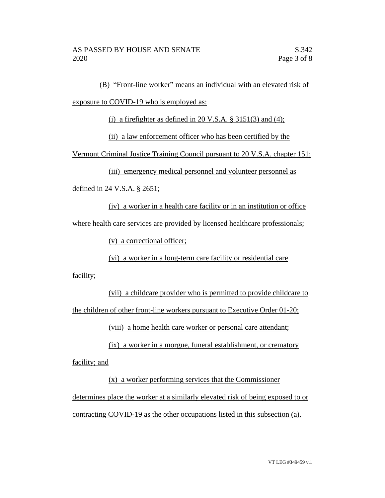(B) "Front-line worker" means an individual with an elevated risk of

exposure to COVID-19 who is employed as:

(i) a firefighter as defined in 20 V.S.A.  $\S 3151(3)$  and (4);

(ii) a law enforcement officer who has been certified by the

Vermont Criminal Justice Training Council pursuant to 20 V.S.A. chapter 151;

(iii) emergency medical personnel and volunteer personnel as

defined in 24 V.S.A. § 2651;

(iv) a worker in a health care facility or in an institution or office where health care services are provided by licensed healthcare professionals;

(v) a correctional officer;

(vi) a worker in a long-term care facility or residential care

facility;

(vii) a childcare provider who is permitted to provide childcare to the children of other front-line workers pursuant to Executive Order 01-20;

(viii) a home health care worker or personal care attendant;

(ix) a worker in a morgue, funeral establishment, or crematory facility; and

(x) a worker performing services that the Commissioner determines place the worker at a similarly elevated risk of being exposed to or contracting COVID-19 as the other occupations listed in this subsection (a).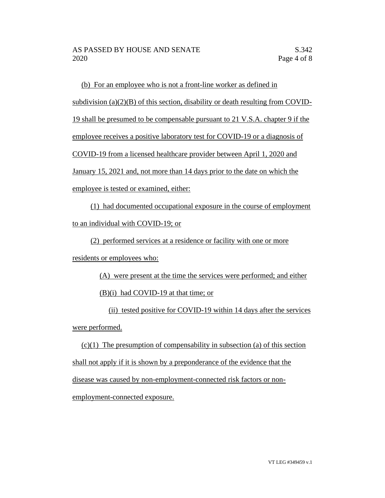(b) For an employee who is not a front-line worker as defined in subdivision (a) $(2)(B)$  of this section, disability or death resulting from COVID-19 shall be presumed to be compensable pursuant to 21 V.S.A. chapter 9 if the employee receives a positive laboratory test for COVID-19 or a diagnosis of COVID-19 from a licensed healthcare provider between April 1, 2020 and January 15, 2021 and, not more than 14 days prior to the date on which the employee is tested or examined, either:

(1) had documented occupational exposure in the course of employment to an individual with COVID-19; or

(2) performed services at a residence or facility with one or more

residents or employees who:

(A) were present at the time the services were performed; and either

(B)(i) had COVID-19 at that time; or

(ii) tested positive for COVID-19 within 14 days after the services were performed.

 $(c)(1)$  The presumption of compensability in subsection (a) of this section shall not apply if it is shown by a preponderance of the evidence that the disease was caused by non-employment-connected risk factors or nonemployment-connected exposure.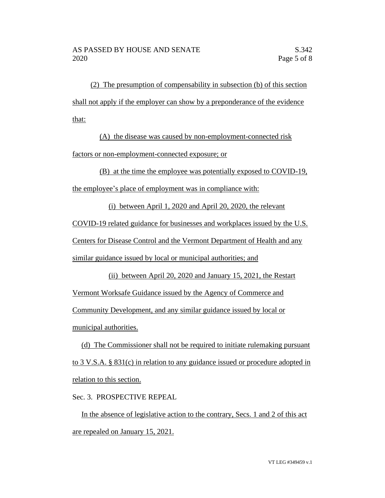(2) The presumption of compensability in subsection (b) of this section shall not apply if the employer can show by a preponderance of the evidence that:

(A) the disease was caused by non-employment-connected risk factors or non-employment-connected exposure; or

(B) at the time the employee was potentially exposed to COVID-19,

the employee's place of employment was in compliance with:

(i) between April 1, 2020 and April 20, 2020, the relevant

COVID-19 related guidance for businesses and workplaces issued by the U.S.

Centers for Disease Control and the Vermont Department of Health and any

similar guidance issued by local or municipal authorities; and

(ii) between April 20, 2020 and January 15, 2021, the Restart Vermont Worksafe Guidance issued by the Agency of Commerce and Community Development, and any similar guidance issued by local or municipal authorities.

(d) The Commissioner shall not be required to initiate rulemaking pursuant to 3 V.S.A. § 831(c) in relation to any guidance issued or procedure adopted in relation to this section.

Sec. 3. PROSPECTIVE REPEAL

In the absence of legislative action to the contrary, Secs. 1 and 2 of this act are repealed on January 15, 2021.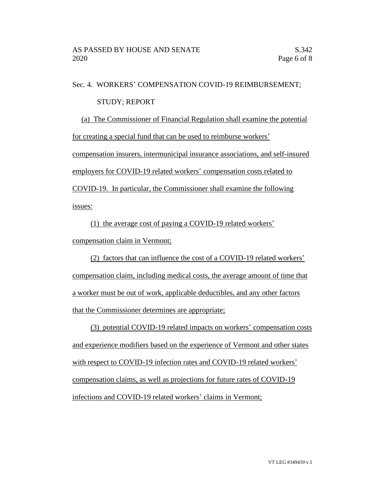#### Sec. 4. WORKERS' COMPENSATION COVID-19 REIMBURSEMENT;

### STUDY; REPORT

(a) The Commissioner of Financial Regulation shall examine the potential for creating a special fund that can be used to reimburse workers' compensation insurers, intermunicipal insurance associations, and self-insured employers for COVID-19 related workers' compensation costs related to COVID-19. In particular, the Commissioner shall examine the following

issues:

(1) the average cost of paying a COVID-19 related workers'

compensation claim in Vermont;

(2) factors that can influence the cost of a COVID-19 related workers' compensation claim, including medical costs, the average amount of time that a worker must be out of work, applicable deductibles, and any other factors that the Commissioner determines are appropriate;

(3) potential COVID-19 related impacts on workers' compensation costs and experience modifiers based on the experience of Vermont and other states with respect to COVID-19 infection rates and COVID-19 related workers' compensation claims, as well as projections for future rates of COVID-19 infections and COVID-19 related workers' claims in Vermont;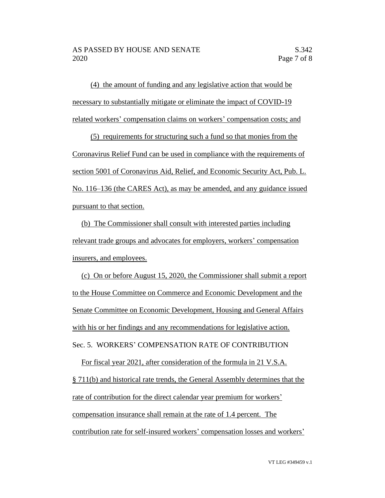(4) the amount of funding and any legislative action that would be necessary to substantially mitigate or eliminate the impact of COVID-19 related workers' compensation claims on workers' compensation costs; and

(5) requirements for structuring such a fund so that monies from the Coronavirus Relief Fund can be used in compliance with the requirements of section 5001 of Coronavirus Aid, Relief, and Economic Security Act, Pub. L. No. 116–136 (the CARES Act), as may be amended, and any guidance issued pursuant to that section.

(b) The Commissioner shall consult with interested parties including relevant trade groups and advocates for employers, workers' compensation insurers, and employees.

(c) On or before August 15, 2020, the Commissioner shall submit a report to the House Committee on Commerce and Economic Development and the Senate Committee on Economic Development, Housing and General Affairs with his or her findings and any recommendations for legislative action. Sec. 5. WORKERS' COMPENSATION RATE OF CONTRIBUTION

For fiscal year 2021, after consideration of the formula in 21 V.S.A. § 711(b) and historical rate trends, the General Assembly determines that the rate of contribution for the direct calendar year premium for workers' compensation insurance shall remain at the rate of 1.4 percent. The contribution rate for self-insured workers' compensation losses and workers'